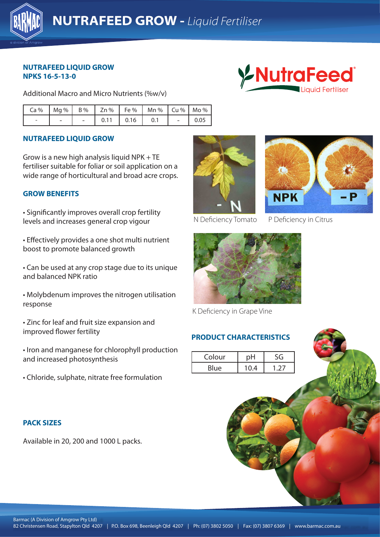

#### **NUTRAFEED LIQUID GROW NPKS 16-5-13-0**

Additional Macro and Micro Nutrients (%w/v)



|                          |  |      | $Ca\%$   Mg %   B %   Zn %   Fe %   Mn %   Cu %   Mo % |               |      |
|--------------------------|--|------|--------------------------------------------------------|---------------|------|
| $\overline{\phantom{a}}$ |  | 0.16 |                                                        | $\sim$ $\sim$ | 0.05 |

# **NUTRAFEED LIQUID GROW**

Grow is a new high analysis liquid NPK + TE fertiliser suitable for foliar or soil application on a wide range of horticultural and broad acre crops.

### **GROW BENEFITS**

• Significantly improves overall crop fertility levels and increases general crop vigour

boost to promote balanced growth • Effectively provides a one shot multi nutrient

• Can be used at any crop stage due to its unique and balanced NPK ratio

• Molybdenum improves the nitrogen utilisation response

• Zinc for leaf and fruit size expansion and improved flower fertility

• Iron and manganese for chlorophyll production and increased photosynthesis

• Chloride, sulphate, nitrate free formulation

### **PACK SIZES**

Available in 20, 200 and 1000 L packs.





N Deficiency Tomato P Deficiency in Citrus



K Deficiency in Grape Vine

### **PRODUCT CHARACTERISTICS**

| Colour      |      |               |
|-------------|------|---------------|
| <b>Blue</b> | 10.4 | $\rightarrow$ |